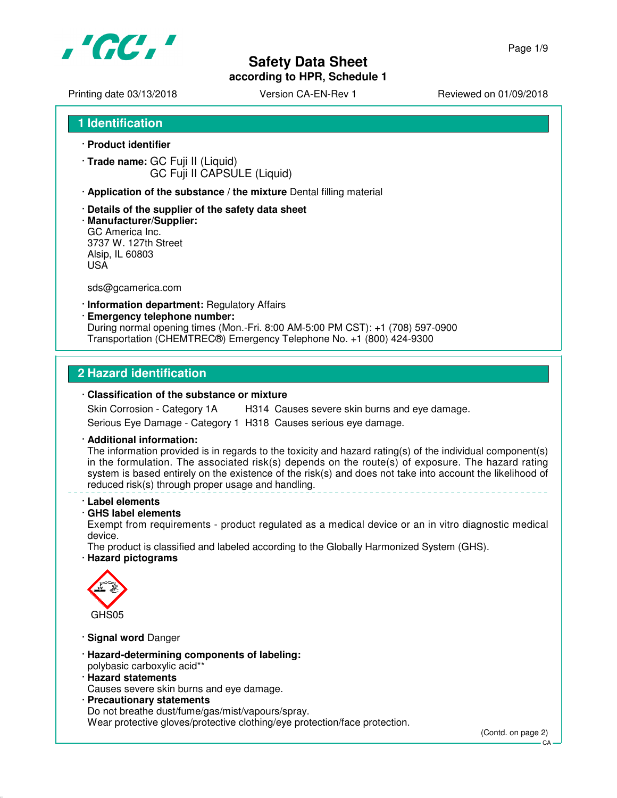

# **Safety Data Sheet**

**according to HPR, Schedule 1**

Page 1/9

Printing date 03/13/2018 <br>
Version CA-EN-Rev 1 Reviewed on 01/09/2018

**1 Identification**

- · **Product identifier**
- · **Trade name:** GC Fuji II (Liquid) GC Fuji II CAPSULE (Liquid)
- · **Application of the substance / the mixture** Dental filling material
- · **Details of the supplier of the safety data sheet**
- · **Manufacturer/Supplier:** GC America Inc. 3737 W. 127th Street Alsip, IL 60803 USA

sds@gcamerica.com

- · **Information department:** Regulatory Affairs
- · **Emergency telephone number:**

During normal opening times (Mon.-Fri. 8:00 AM-5:00 PM CST): +1 (708) 597-0900 Transportation (CHEMTREC®) Emergency Telephone No. +1 (800) 424-9300

#### **2 Hazard identification**

#### · **Classification of the substance or mixture**

Skin Corrosion - Category 1A H314 Causes severe skin burns and eye damage. Serious Eye Damage - Category 1 H318 Causes serious eye damage.

· **Additional information:**

The information provided is in regards to the toxicity and hazard rating(s) of the individual component(s) in the formulation. The associated risk(s) depends on the route(s) of exposure. The hazard rating system is based entirely on the existence of the risk(s) and does not take into account the likelihood of reduced risk(s) through proper usage and handling.

- · **Label elements**
- · **GHS label elements**

Exempt from requirements - product regulated as a medical device or an in vitro diagnostic medical device.

The product is classified and labeled according to the Globally Harmonized System (GHS).

· **Hazard pictograms**



- · **Signal word** Danger
- · **Hazard-determining components of labeling:** polybasic carboxylic acid\*\*
- · **Hazard statements**

Causes severe skin burns and eye damage.

· **Precautionary statements** Do not breathe dust/fume/gas/mist/vapours/spray. Wear protective gloves/protective clothing/eye protection/face protection.

(Contd. on page 2)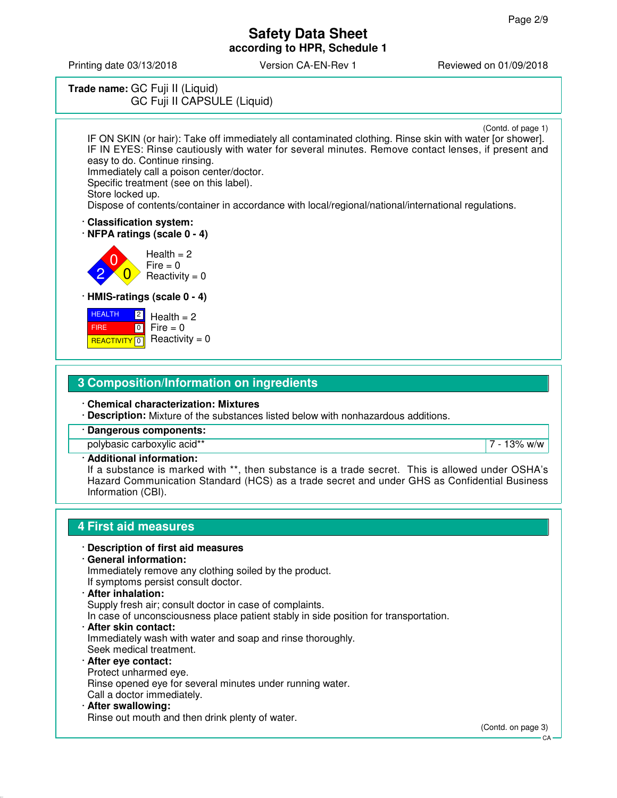Printing date 03/13/2018 **Version CA-EN-Rev 1** Reviewed on 01/09/2018

# **Trade name:** GC Fuji II (Liquid) GC Fuji II CAPSULE (Liquid)

(Contd. of page 1)

IF ON SKIN (or hair): Take off immediately all contaminated clothing. Rinse skin with water [or shower]. IF IN EYES: Rinse cautiously with water for several minutes. Remove contact lenses, if present and easy to do. Continue rinsing.

Immediately call a poison center/doctor.

Specific treatment (see on this label). Store locked up.

Dispose of contents/container in accordance with local/regional/national/international regulations.

· **Classification system:**

· **NFPA ratings (scale 0 - 4)**

0  $\overline{0}$  $Health = 2$  $Fire = 0$  $Reactivity = 0$ 

· **HMIS-ratings (scale 0 - 4)**

| <b>HEALTH</b> | $\sqrt{2}$ Health = 2                    |
|---------------|------------------------------------------|
| <b>FIRE</b>   | $\blacksquare$ o $\blacksquare$ Fire = 0 |
|               | REACTIVITY 0 Reactivity = 0              |

2

## **3 Composition/Information on ingredients**

· **Chemical characterization: Mixtures**

· **Description:** Mixture of the substances listed below with nonhazardous additions.

· **Dangerous components:**

polybasic carboxylic acid\*\* 7 - 13% w/w

#### · **Additional information:**

If a substance is marked with \*\*, then substance is a trade secret. This is allowed under OSHA's Hazard Communication Standard (HCS) as a trade secret and under GHS as Confidential Business Information (CBI).

## **4 First aid measures**

#### · **Description of first aid measures**

· **General information:**

Immediately remove any clothing soiled by the product. If symptoms persist consult doctor.

#### · **After inhalation:**

Supply fresh air; consult doctor in case of complaints.

In case of unconsciousness place patient stably in side position for transportation.

· **After skin contact:**

Immediately wash with water and soap and rinse thoroughly. Seek medical treatment.

#### · **After eye contact:** Protect unharmed eye.

Rinse opened eye for several minutes under running water.

- Call a doctor immediately.
- · **After swallowing:** Rinse out mouth and then drink plenty of water.

(Contd. on page 3)

 $CA$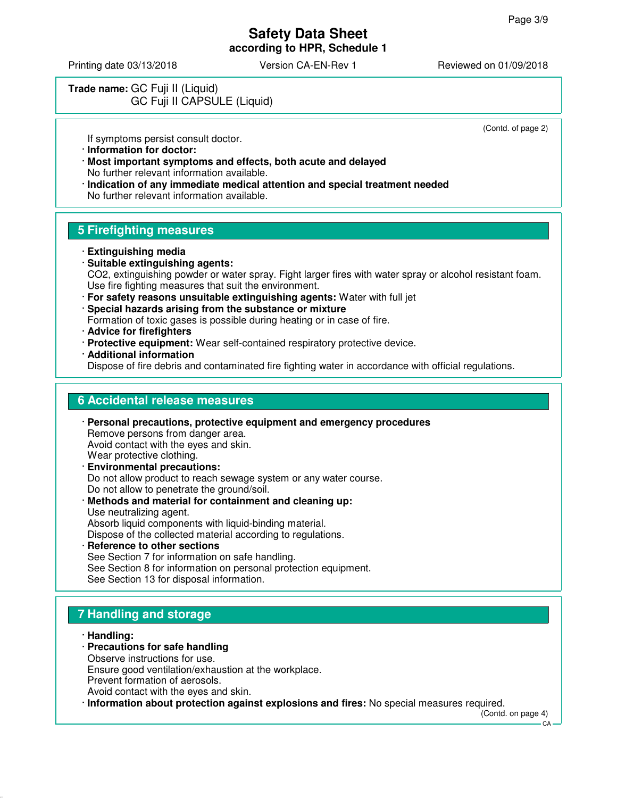(Contd. of page 2)

# **Safety Data Sheet according to HPR, Schedule 1**

Printing date 03/13/2018 Version CA-EN-Rev 1 Reviewed on 01/09/2018

# **Trade name:** GC Fuji II (Liquid) GC Fuji II CAPSULE (Liquid)

If symptoms persist consult doctor.

- · **Information for doctor:**
- · **Most important symptoms and effects, both acute and delayed** No further relevant information available.
- · **Indication of any immediate medical attention and special treatment needed** No further relevant information available.

## **5 Firefighting measures**

- · **Extinguishing media**
- · **Suitable extinguishing agents:** CO2, extinguishing powder or water spray. Fight larger fires with water spray or alcohol resistant foam. Use fire fighting measures that suit the environment.
- · **For safety reasons unsuitable extinguishing agents:** Water with full jet
- · **Special hazards arising from the substance or mixture**

Formation of toxic gases is possible during heating or in case of fire.

- · **Advice for firefighters**
- · **Protective equipment:** Wear self-contained respiratory protective device.
- · **Additional information**

Dispose of fire debris and contaminated fire fighting water in accordance with official regulations.

## **6 Accidental release measures**

- · **Personal precautions, protective equipment and emergency procedures** Remove persons from danger area. Avoid contact with the eyes and skin. Wear protective clothing. · **Environmental precautions:** Do not allow product to reach sewage system or any water course.
- Do not allow to penetrate the ground/soil. · **Methods and material for containment and cleaning up:** Use neutralizing agent. Absorb liquid components with liquid-binding material. Dispose of the collected material according to regulations.
- **Reference to other sections** See Section 7 for information on safe handling. See Section 8 for information on personal protection equipment. See Section 13 for disposal information.

## **7 Handling and storage**

- · **Handling:**
- · **Precautions for safe handling** Observe instructions for use. Ensure good ventilation/exhaustion at the workplace.
- Prevent formation of aerosols.

Avoid contact with the eyes and skin.

· **Information about protection against explosions and fires:** No special measures required.

(Contd. on page 4)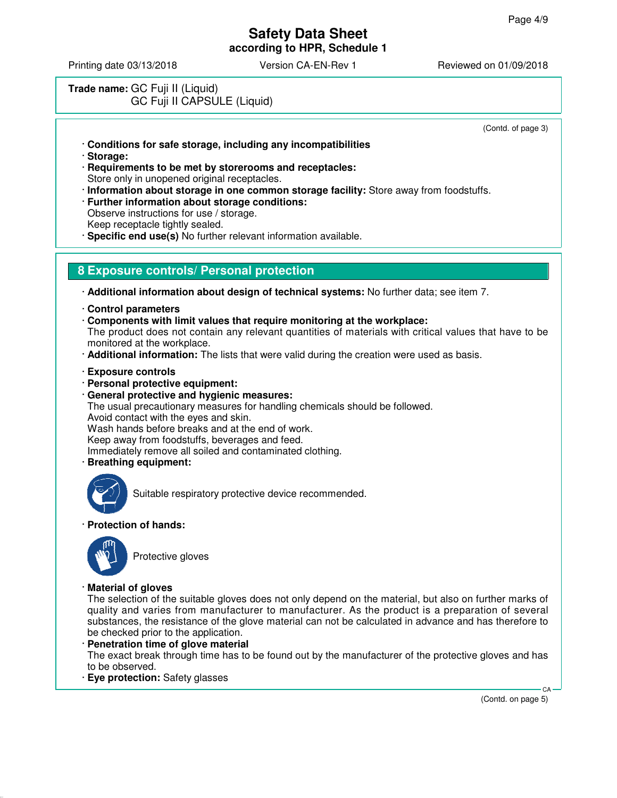Printing date 03/13/2018 **Version CA-EN-Rev 1** Reviewed on 01/09/2018

# **Trade name:** GC Fuji II (Liquid) GC Fuji II CAPSULE (Liquid)

(Contd. of page 3)

- · **Conditions for safe storage, including any incompatibilities**
- · **Storage:**
- · **Requirements to be met by storerooms and receptacles:** Store only in unopened original receptacles.
- · **Information about storage in one common storage facility:** Store away from foodstuffs.
- · **Further information about storage conditions:** Observe instructions for use / storage. Keep receptacle tightly sealed.
- · **Specific end use(s)** No further relevant information available.

### **8 Exposure controls/ Personal protection**

· **Additional information about design of technical systems:** No further data; see item 7.

- · **Control parameters**
- · **Components with limit values that require monitoring at the workplace:**

The product does not contain any relevant quantities of materials with critical values that have to be monitored at the workplace.

- · **Additional information:** The lists that were valid during the creation were used as basis.
- · **Exposure controls**
- · **Personal protective equipment:**
- · **General protective and hygienic measures:**
- The usual precautionary measures for handling chemicals should be followed.
- Avoid contact with the eyes and skin.

Wash hands before breaks and at the end of work.

Keep away from foodstuffs, beverages and feed.

Immediately remove all soiled and contaminated clothing.

· **Breathing equipment:**



Suitable respiratory protective device recommended.

· **Protection of hands:**



Protective gloves

· **Material of gloves**

The selection of the suitable gloves does not only depend on the material, but also on further marks of quality and varies from manufacturer to manufacturer. As the product is a preparation of several substances, the resistance of the glove material can not be calculated in advance and has therefore to be checked prior to the application.

- · **Penetration time of glove material** The exact break through time has to be found out by the manufacturer of the protective gloves and has to be observed.
- · **Eye protection:** Safety glasses

(Contd. on page 5)

CA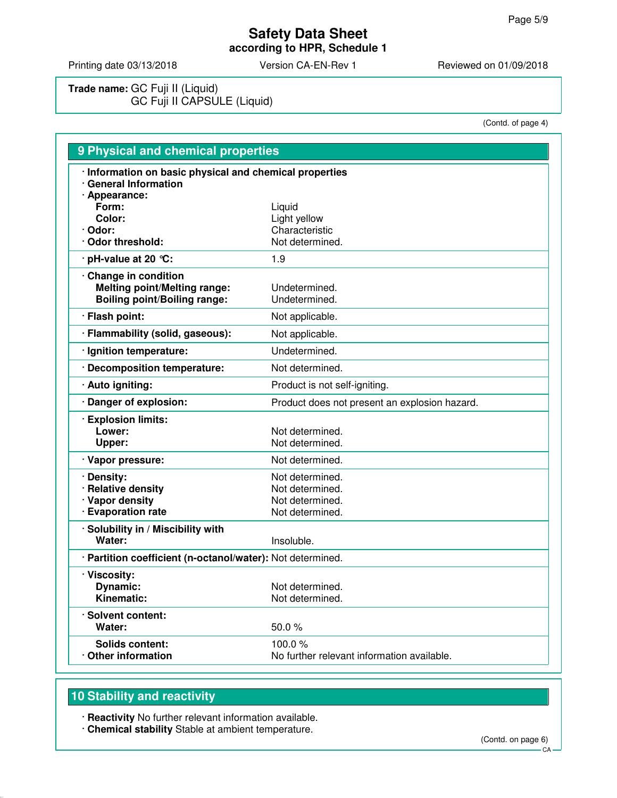Printing date 03/13/2018 Version CA-EN-Rev 1 Reviewed on 01/09/2018

**Trade name:** GC Fuji II (Liquid) GC Fuji II CAPSULE (Liquid)

(Contd. of page 4)

| 9 Physical and chemical properties                                                                |                                                                          |  |
|---------------------------------------------------------------------------------------------------|--------------------------------------------------------------------------|--|
| · Information on basic physical and chemical properties<br>· General Information                  |                                                                          |  |
| · Appearance:<br>Form:<br>Color:<br>· Odor:<br>Odor threshold:                                    | Liquid<br>Light yellow<br>Characteristic<br>Not determined.              |  |
| $\cdot$ pH-value at 20 $\degree$ C:                                                               | 1.9                                                                      |  |
| Change in condition<br><b>Melting point/Melting range:</b><br><b>Boiling point/Boiling range:</b> | Undetermined.<br>Undetermined.                                           |  |
| · Flash point:                                                                                    | Not applicable.                                                          |  |
| · Flammability (solid, gaseous):                                                                  | Not applicable.                                                          |  |
| · Ignition temperature:                                                                           | Undetermined.                                                            |  |
| · Decomposition temperature:                                                                      | Not determined.                                                          |  |
| · Auto igniting:                                                                                  | Product is not self-igniting.                                            |  |
| · Danger of explosion:                                                                            | Product does not present an explosion hazard.                            |  |
| · Explosion limits:<br>Lower:<br>Upper:                                                           | Not determined.<br>Not determined.                                       |  |
| · Vapor pressure:                                                                                 | Not determined.                                                          |  |
| · Density:<br>· Relative density<br>· Vapor density<br>· Evaporation rate                         | Not determined.<br>Not determined.<br>Not determined.<br>Not determined. |  |
| · Solubility in / Miscibility with<br>Water:                                                      | Insoluble.                                                               |  |
| · Partition coefficient (n-octanol/water): Not determined.                                        |                                                                          |  |
| · Viscosity:<br>Dynamic:<br>Kinematic:                                                            | Not determined.<br>Not determined.                                       |  |
| · Solvent content:<br>Water:                                                                      | 50.0%                                                                    |  |
| Solids content:<br>Other information                                                              | 100.0 $%$<br>No further relevant information available.                  |  |

# **10 Stability and reactivity**

· **Reactivity** No further relevant information available.

· **Chemical stability** Stable at ambient temperature.

(Contd. on page 6)

CA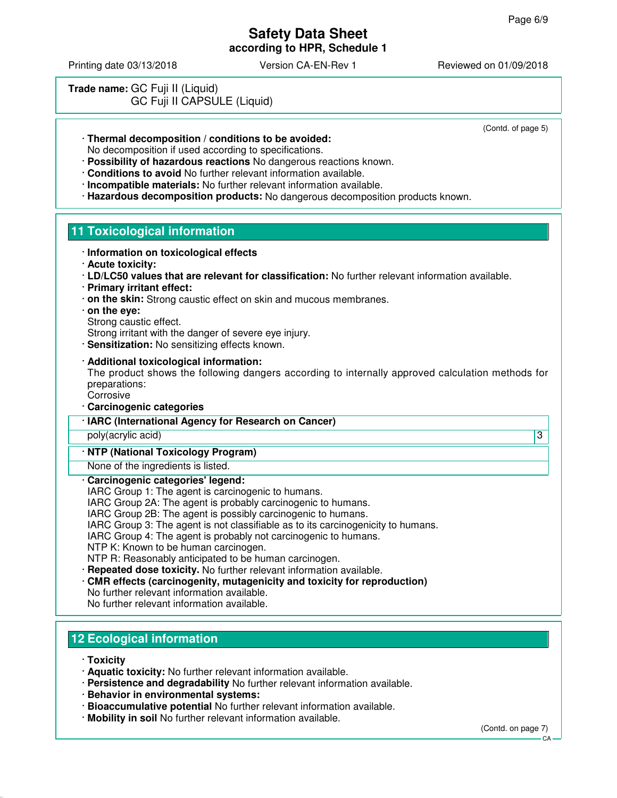Printing date 03/13/2018 Version CA-EN-Rev 1 Reviewed on 01/09/2018

| Trade name: GC Fuji II (Liquid) |  |                             |  |
|---------------------------------|--|-----------------------------|--|
|                                 |  | GC Fuji II CAPSULE (Liquid) |  |

(Contd. of page 5)

- · **Thermal decomposition / conditions to be avoided:** No decomposition if used according to specifications.
- · **Possibility of hazardous reactions** No dangerous reactions known.
- · **Conditions to avoid** No further relevant information available.
- · **Incompatible materials:** No further relevant information available.
- · **Hazardous decomposition products:** No dangerous decomposition products known.

# **11 Toxicological information**

- · **Information on toxicological effects**
	- · **Acute toxicity:**
	- · **LD/LC50 values that are relevant for classification:** No further relevant information available.
	- · **Primary irritant effect:**
	- · **on the skin:** Strong caustic effect on skin and mucous membranes.
	- · **on the eye:**

Strong caustic effect.

- Strong irritant with the danger of severe eye injury.
- · **Sensitization:** No sensitizing effects known.

### · **Additional toxicological information:**

The product shows the following dangers according to internally approved calculation methods for preparations:

- **Corrosive**
- · **Carcinogenic categories**
- · **IARC (International Agency for Research on Cancer)**

poly(acrylic acid) 3

## · **NTP (National Toxicology Program)**

None of the ingredients is listed.

- · **Carcinogenic categories' legend:**
- IARC Group 1: The agent is carcinogenic to humans.
- IARC Group 2A: The agent is probably carcinogenic to humans.
- IARC Group 2B: The agent is possibly carcinogenic to humans.
- IARC Group 3: The agent is not classifiable as to its carcinogenicity to humans.
- IARC Group 4: The agent is probably not carcinogenic to humans.
- NTP K: Known to be human carcinogen.
- NTP R: Reasonably anticipated to be human carcinogen.
- · **Repeated dose toxicity.** No further relevant information available.
- · **CMR effects (carcinogenity, mutagenicity and toxicity for reproduction)**
- No further relevant information available.
- No further relevant information available.

# **12 Ecological information**

- · **Toxicity**
- · **Aquatic toxicity:** No further relevant information available.
- · **Persistence and degradability** No further relevant information available.
- · **Behavior in environmental systems:**
- · **Bioaccumulative potential** No further relevant information available.
- · **Mobility in soil** No further relevant information available.

(Contd. on page 7)

 $C.A$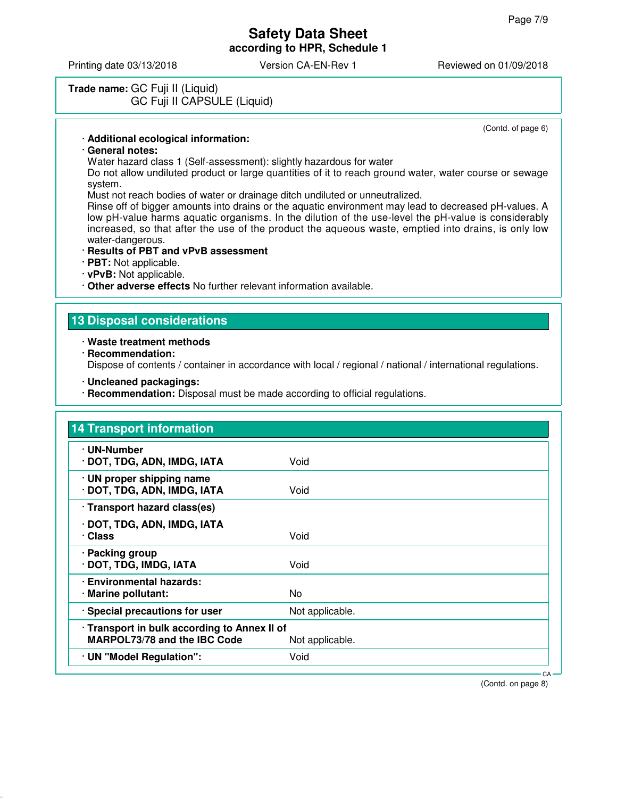Printing date 03/13/2018 **Version CA-EN-Rev 1** Reviewed on 01/09/2018

## **Trade name:** GC Fuji II (Liquid) GC Fuji II CAPSULE (Liquid)

(Contd. of page 6)

#### · **Additional ecological information:**

#### · **General notes:**

Water hazard class 1 (Self-assessment): slightly hazardous for water

Do not allow undiluted product or large quantities of it to reach ground water, water course or sewage system.

Must not reach bodies of water or drainage ditch undiluted or unneutralized.

Rinse off of bigger amounts into drains or the aquatic environment may lead to decreased pH-values. A low pH-value harms aquatic organisms. In the dilution of the use-level the pH-value is considerably increased, so that after the use of the product the aqueous waste, emptied into drains, is only low water-dangerous.

#### · **Results of PBT and vPvB assessment**

· **PBT:** Not applicable.

· **vPvB:** Not applicable.

· **Other adverse effects** No further relevant information available.

#### **13 Disposal considerations**

#### · **Waste treatment methods**

· **Recommendation:**

Dispose of contents / container in accordance with local / regional / national / international regulations.

- · **Uncleaned packagings:**
- · **Recommendation:** Disposal must be made according to official regulations.

| <b>14 Transport information</b>                                                     |                 |
|-------------------------------------------------------------------------------------|-----------------|
| · UN-Number<br>· DOT, TDG, ADN, IMDG, IATA                                          | Void            |
| · UN proper shipping name<br>· DOT, TDG, ADN, IMDG, IATA                            | Void            |
| · Transport hazard class(es)                                                        |                 |
| · DOT, TDG, ADN, IMDG, IATA<br>· Class                                              | Void            |
| · Packing group<br>· DOT, TDG, IMDG, IATA                                           | Void            |
| · Environmental hazards:<br>· Marine pollutant:                                     | No.             |
| · Special precautions for user                                                      | Not applicable. |
| · Transport in bulk according to Annex II of<br><b>MARPOL73/78 and the IBC Code</b> | Not applicable. |
| · UN "Model Regulation":                                                            | Void            |

(Contd. on page 8)

CA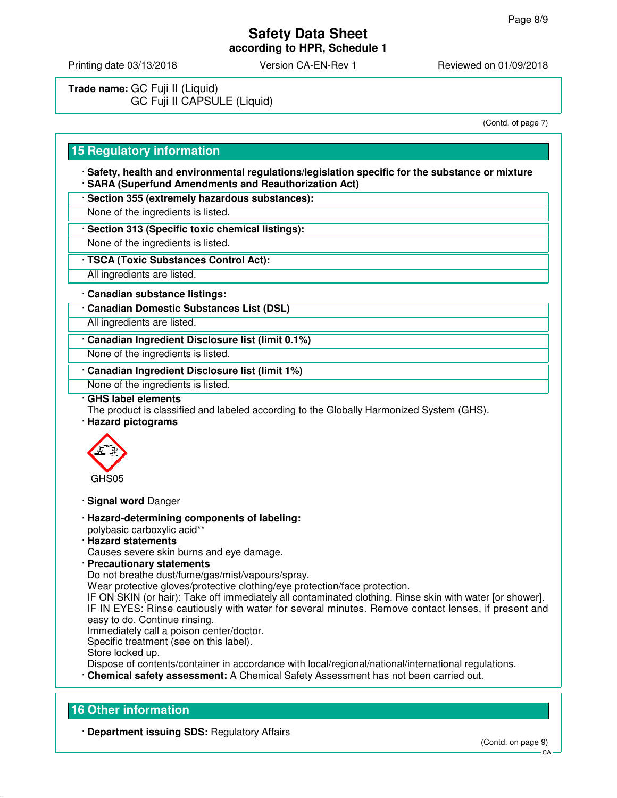Printing date 03/13/2018 Version CA-EN-Rev 1 Reviewed on 01/09/2018

**Trade name:** GC Fuji II (Liquid) GC Fuji II CAPSULE (Liquid)

(Contd. of page 7)

## **15 Regulatory information**

· **Safety, health and environmental regulations/legislation specific for the substance or mixture** · **SARA (Superfund Amendments and Reauthorization Act)**

· **Section 355 (extremely hazardous substances):**

None of the ingredients is listed.

· **Section 313 (Specific toxic chemical listings):**

None of the ingredients is listed.

· **TSCA (Toxic Substances Control Act):**

All ingredients are listed.

#### · **Canadian substance listings:**

· **Canadian Domestic Substances List (DSL)**

All ingredients are listed.

· **Canadian Ingredient Disclosure list (limit 0.1%)**

None of the ingredients is listed.

· **Canadian Ingredient Disclosure list (limit 1%)**

None of the ingredients is listed.

#### · **GHS label elements**

The product is classified and labeled according to the Globally Harmonized System (GHS).

· **Hazard pictograms**



· **Signal word** Danger

- · **Hazard-determining components of labeling:** polybasic carboxylic acid\*\*
- · **Hazard statements**

Causes severe skin burns and eye damage.

· **Precautionary statements**

Do not breathe dust/fume/gas/mist/vapours/spray.

Wear protective gloves/protective clothing/eye protection/face protection.

IF ON SKIN (or hair): Take off immediately all contaminated clothing. Rinse skin with water [or shower]. IF IN EYES: Rinse cautiously with water for several minutes. Remove contact lenses, if present and easy to do. Continue rinsing.

Immediately call a poison center/doctor.

Specific treatment (see on this label).

Store locked up.

Dispose of contents/container in accordance with local/regional/national/international regulations.

· **Chemical safety assessment:** A Chemical Safety Assessment has not been carried out.

## **16 Other information**

· **Department issuing SDS:** Regulatory Affairs

CA